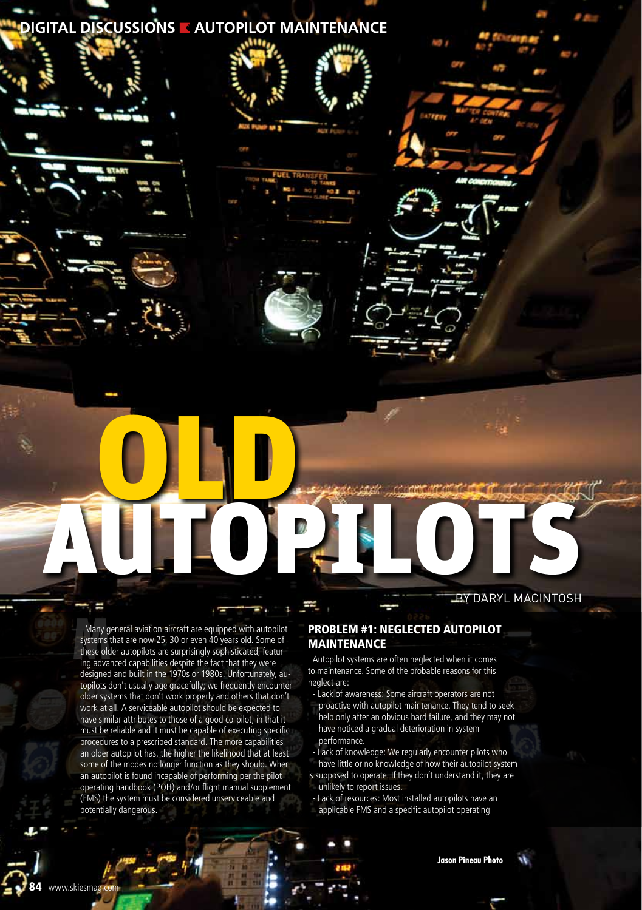## **DIGITAL DISCUSSIONS AUTOPILOT MAINTENANCE**

# Autopie Charles by Daryl MacIntosh

Many general aviation aircraft are equipped with autopilot systems that are now 25, 30 or even 40 years old. Some of these older autopilots are surprisingly sophisticated, featur-Many general aviation aircraft are equipped with autopi<br>systems that are now 25, 30 or even 40 years old. Some<br>these older autopilots are surprisingly sophisticated, featuring advanced capabilities despite the fact that th designed and built in the 1970s or 1980s. Unfortunately, autopilots don't usually age gracefully; we frequently encounter older systems that don't work properly and others that don't work at all. A serviceable autopilot should be expected to have similar attributes to those of a good co-pilot, in that it must be reliable and it must be capable of executing specific procedures to a prescribed standard. The more capabilities an older autopilot has, the higher the likelihood that at least some of the modes no longer function as they should. When an autopilot is found incapable of performing per the pilot operating handbook (POH) and/or flight manual supplement (FMS) the system must be considered unserviceable and potentially dangerous.

www.skiesmag.c

OLD.

#### Problem #1: Neglected Autopilot Maintenance

Autopilot systems are often neglected when it comes to maintenance. Some of the probable reasons for this neglect are:

- Lack of awareness: Some aircraft operators are not
- proactive with autopilot maintenance. They tend to seek help only after an obvious hard failure, and they may not have noticed a gradual deterioration in system performance.
- Lack of knowledge: We regularly encounter pilots who have little or no knowledge of how their autopilot system is supposed to operate. If they don't understand it, they are unlikely to report issues.
- Lack of resources: Most installed autopilots have an
- applicable FMS and a specific autopilot operating